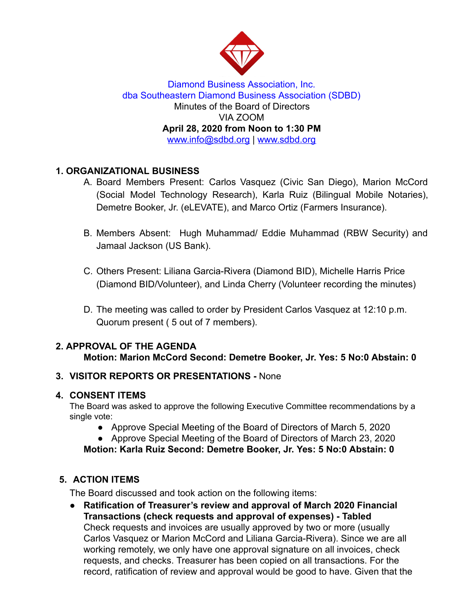

Diamond Business Association, Inc. dba Southeastern Diamond Business Association (SDBD) Minutes of the Board of Directors VIA ZOOM **April 28, 2020 from Noon to 1:30 PM**  www.info@sdbd.org | [www.sdbd.org](http://www.sdbd.org/)

# **1. ORGANIZATIONAL BUSINESS**

- A. Board Members Present: Carlos Vasquez (Civic San Diego), Marion McCord (Social Model Technology Research), Karla Ruiz (Bilingual Mobile Notaries), Demetre Booker, Jr. (eLEVATE), and Marco Ortiz (Farmers Insurance).
- B. Members Absent: Hugh Muhammad/ Eddie Muhammad (RBW Security) and Jamaal Jackson (US Bank).
- C. Others Present: Liliana Garcia-Rivera (Diamond BID), Michelle Harris Price (Diamond BID/Volunteer), and Linda Cherry (Volunteer recording the minutes)
- D. The meeting was called to order by President Carlos Vasquez at 12:10 p.m. Quorum present ( 5 out of 7 members).

# **2. APPROVAL OF THE AGENDA**

**Motion: Marion McCord Second: Demetre Booker, Jr. Yes: 5 No:0 Abstain: 0** 

## **3. VISITOR REPORTS OR PRESENTATIONS -** None

## **4. CONSENT ITEMS**

The Board was asked to approve the following Executive Committee recommendations by a single vote:

- Approve Special Meeting of the Board of Directors of March 5, 2020
- Approve Special Meeting of the Board of Directors of March 23, 2020

**Motion: Karla Ruiz Second: Demetre Booker, Jr. Yes: 5 No:0 Abstain: 0** 

# **5. ACTION ITEMS**

The Board discussed and took action on the following items:

**● Ratification of Treasurer's review and approval of March 2020 Financial Transactions (check requests and approval of expenses) - Tabled**  Check requests and invoices are usually approved by two or more (usually Carlos Vasquez or Marion McCord and Liliana Garcia-Rivera). Since we are all working remotely, we only have one approval signature on all invoices, check requests, and checks. Treasurer has been copied on all transactions. For the record, ratification of review and approval would be good to have. Given that the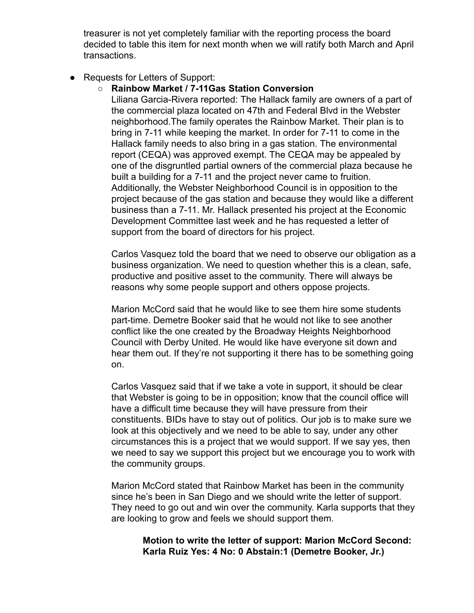treasurer is not yet completely familiar with the reporting process the board decided to table this item for next month when we will ratify both March and April transactions.

● Requests for Letters of Support:

#### **○ Rainbow Market / 7-11Gas Station Conversion**

Liliana Garcia-Rivera reported: The Hallack family are owners of a part of the commercial plaza located on 47th and Federal Blvd in the Webster neighborhood.The family operates the Rainbow Market. Their plan is to bring in 7-11 while keeping the market. In order for 7-11 to come in the Hallack family needs to also bring in a gas station. The environmental report (CEQA) was approved exempt. The CEQA may be appealed by one of the disgruntled partial owners of the commercial plaza because he built a building for a 7-11 and the project never came to fruition. Additionally, the Webster Neighborhood Council is in opposition to the project because of the gas station and because they would like a different business than a 7-11. Mr. Hallack presented his project at the Economic Development Committee last week and he has requested a letter of support from the board of directors for his project.

Carlos Vasquez told the board that we need to observe our obligation as a business organization. We need to question whether this is a clean, safe, productive and positive asset to the community. There will always be reasons why some people support and others oppose projects.

Marion McCord said that he would like to see them hire some students part-time. Demetre Booker said that he would not like to see another conflict like the one created by the Broadway Heights Neighborhood Council with Derby United. He would like have everyone sit down and hear them out. If they're not supporting it there has to be something going on.

Carlos Vasquez said that if we take a vote in support, it should be clear that Webster is going to be in opposition; know that the council office will have a difficult time because they will have pressure from their constituents. BIDs have to stay out of politics. Our job is to make sure we look at this objectively and we need to be able to say, under any other circumstances this is a project that we would support. If we say yes, then we need to say we support this project but we encourage you to work with the community groups.

Marion McCord stated that Rainbow Market has been in the community since he's been in San Diego and we should write the letter of support. They need to go out and win over the community. Karla supports that they are looking to grow and feels we should support them.

#### **Motion to write the letter of support: Marion McCord Second: Karla Ruiz Yes: 4 No: 0 Abstain:1 (Demetre Booker, Jr.)**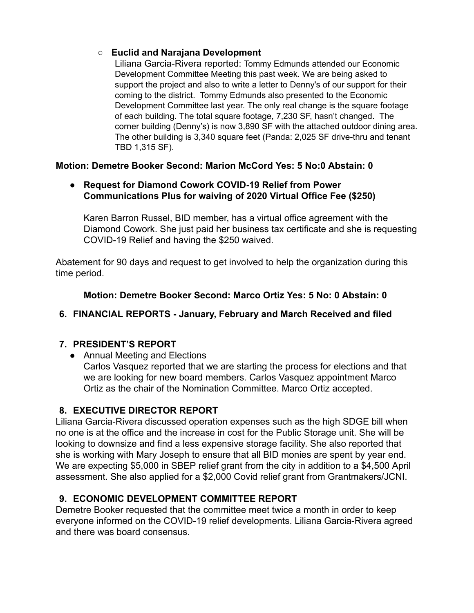## **○ Euclid and Narajana Development**

Liliana Garcia-Rivera reported: Tommy Edmunds attended our Economic Development Committee Meeting this past week. We are being asked to support the project and also to write a letter to Denny's of our support for their coming to the district. Tommy Edmunds also presented to the Economic Development Committee last year. The only real change is the square footage of each building. The total square footage, 7,230 SF, hasn't changed. The corner building (Denny's) is now 3,890 SF with the attached outdoor dining area. The other building is 3,340 square feet (Panda: 2,025 SF drive-thru and tenant TBD 1,315 SF).

## **Motion: Demetre Booker Second: Marion McCord Yes: 5 No:0 Abstain: 0**

### ● **Request for Diamond Cowork COVID-19 Relief from Power Communications Plus for waiving of 2020 Virtual Office Fee (\$250)**

Karen Barron Russel, BID member, has a virtual office agreement with the Diamond Cowork. She just paid her business tax certificate and she is requesting COVID-19 Relief and having the \$250 waived.

Abatement for 90 days and request to get involved to help the organization during this time period.

## **Motion: Demetre Booker Second: Marco Ortiz Yes: 5 No: 0 Abstain: 0**

# **6. FINANCIAL REPORTS - January, February and March Received and filed**

## **7. PRESIDENT'S REPORT**

● Annual Meeting and Elections

Carlos Vasquez reported that we are starting the process for elections and that we are looking for new board members. Carlos Vasquez appointment Marco Ortiz as the chair of the Nomination Committee. Marco Ortiz accepted.

# **8. EXECUTIVE DIRECTOR REPORT**

Liliana Garcia-Rivera discussed operation expenses such as the high SDGE bill when no one is at the office and the increase in cost for the Public Storage unit. She will be looking to downsize and find a less expensive storage facility. She also reported that she is working with Mary Joseph to ensure that all BID monies are spent by year end. We are expecting \$5,000 in SBEP relief grant from the city in addition to a \$4,500 April assessment. She also applied for a \$2,000 Covid relief grant from Grantmakers/JCNI.

# **9. ECONOMIC DEVELOPMENT COMMITTEE REPORT**

Demetre Booker requested that the committee meet twice a month in order to keep everyone informed on the COVID-19 relief developments. Liliana Garcia-Rivera agreed and there was board consensus.